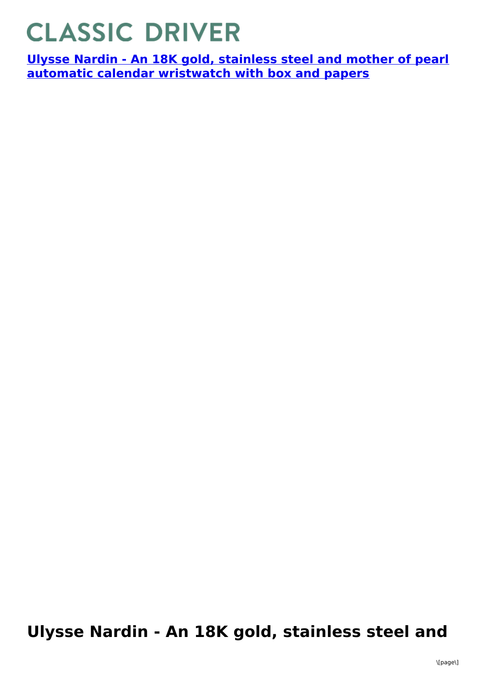## **CLASSIC DRIVER**

**Ulysse Nardin - An 18K gold, stainless steel and mother of pearl automatic calendar [wristwatch](https://www.classicdriver.com/en/watch/ulysse-nardin/266865) with box and papers**

## **Ulysse Nardin - An 18K gold, stainless steel and**